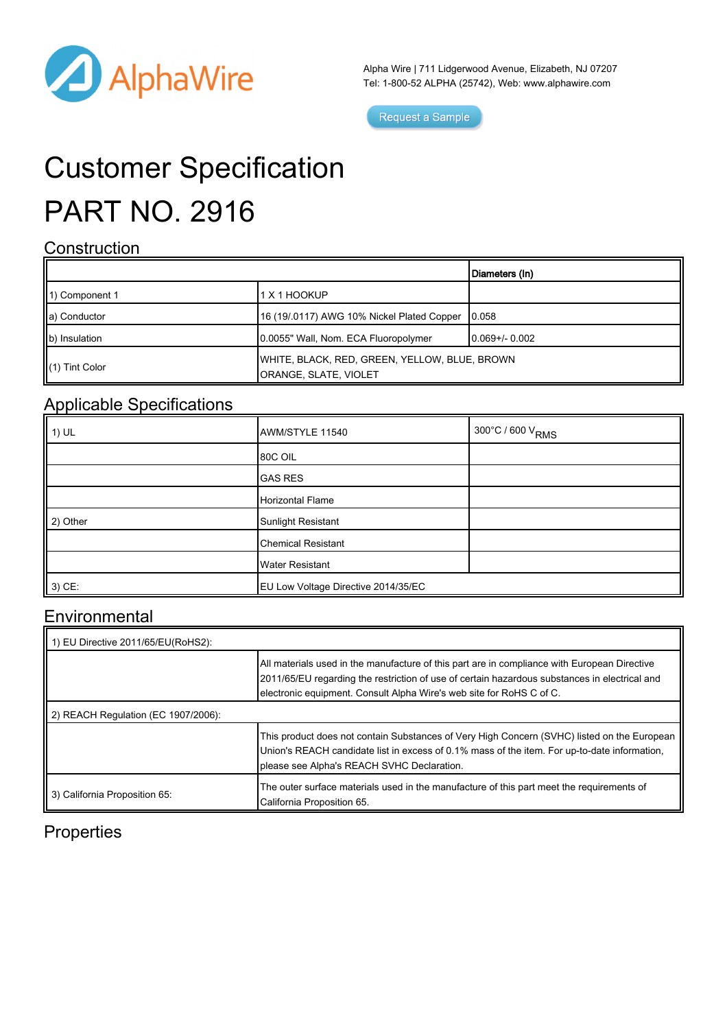

Alpha Wire | 711 Lidgerwood Avenue, Elizabeth, NJ 07207 Tel: 1-800-52 ALPHA (25742), Web: [www.alphawire.com](http://www.alphawire.com)

Request a Sample

# Customer Specification PART NO. 2916

#### **Construction**

|                            |                                                                        | Diameters (In)  |
|----------------------------|------------------------------------------------------------------------|-----------------|
| 11) Component 1            | 1 X 1 HOOKUP                                                           |                 |
| a) Conductor               | 16 (19/.0117) AWG 10% Nickel Plated Copper                             | 10.058          |
| b) Insulation              | 0.0055" Wall, Nom. ECA Fluoropolymer                                   | 10.069+/- 0.002 |
| $\parallel$ (1) Tint Color | WHITE, BLACK, RED, GREEN, YELLOW, BLUE, BROWN<br>ORANGE, SLATE, VIOLET |                 |

### Applicable Specifications

| $\parallel$ 1) UL | AWM/STYLE 11540                     | 300°C / 600 V <sub>RMS</sub> |
|-------------------|-------------------------------------|------------------------------|
|                   | <b>80C OIL</b>                      |                              |
|                   | <b>GAS RES</b>                      |                              |
|                   | Horizontal Flame                    |                              |
| 2) Other          | Sunlight Resistant                  |                              |
|                   | <b>Chemical Resistant</b>           |                              |
|                   | <b>Water Resistant</b>              |                              |
| $3)$ CE:          | EU Low Voltage Directive 2014/35/EC |                              |

#### **Environmental**

| 1) EU Directive 2011/65/EU(RoHS2):  |                                                                                                                                                                                                                                                                       |  |
|-------------------------------------|-----------------------------------------------------------------------------------------------------------------------------------------------------------------------------------------------------------------------------------------------------------------------|--|
|                                     | All materials used in the manufacture of this part are in compliance with European Directive<br>2011/65/EU regarding the restriction of use of certain hazardous substances in electrical and<br>electronic equipment. Consult Alpha Wire's web site for RoHS C of C. |  |
| 2) REACH Regulation (EC 1907/2006): |                                                                                                                                                                                                                                                                       |  |
|                                     | This product does not contain Substances of Very High Concern (SVHC) listed on the European  <br>Union's REACH candidate list in excess of 0.1% mass of the item. For up-to-date information,<br>please see Alpha's REACH SVHC Declaration.                           |  |
| 3) California Proposition 65:       | The outer surface materials used in the manufacture of this part meet the requirements of<br>California Proposition 65.                                                                                                                                               |  |

#### **Properties**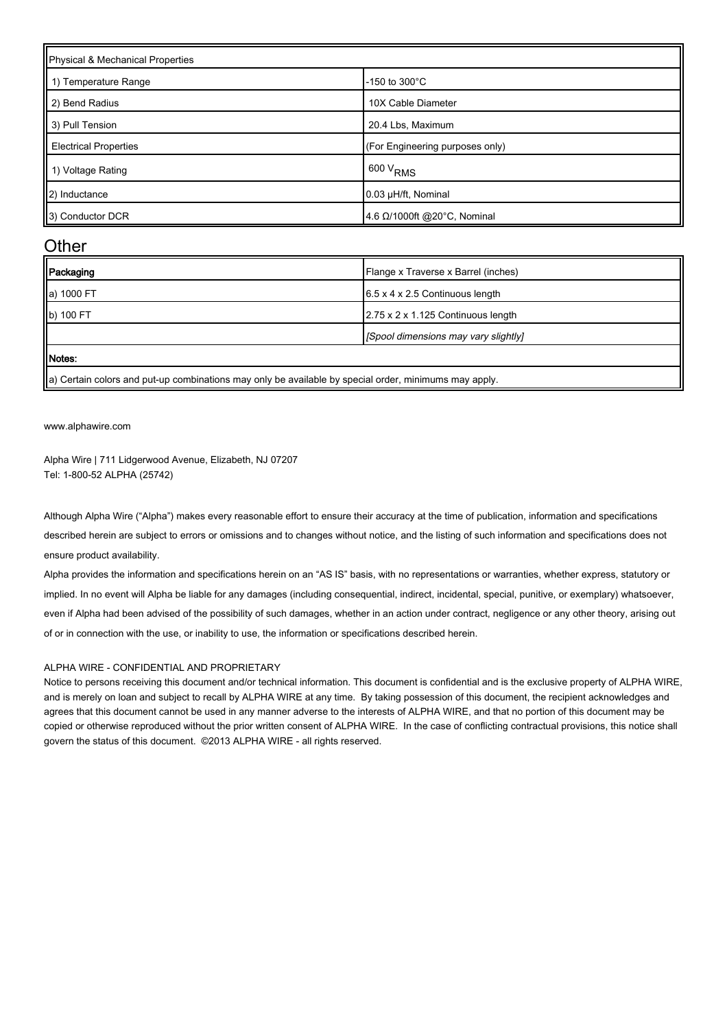| Physical & Mechanical Properties |                                 |  |
|----------------------------------|---------------------------------|--|
| 1) Temperature Range             | -150 to $300^{\circ}$ C         |  |
| 2) Bend Radius                   | 10X Cable Diameter              |  |
| 3) Pull Tension                  | 20.4 Lbs, Maximum               |  |
| <b>Electrical Properties</b>     | (For Engineering purposes only) |  |
| 1) Voltage Rating                | $600 V_{RMS}$                   |  |
| 2) Inductance                    | 0.03 µH/ft, Nominal             |  |
| 3) Conductor DCR                 | 4.6 Ω/1000ft @20°C, Nominal     |  |

#### **Other**

| Packaging  | Flange x Traverse x Barrel (inches)         |
|------------|---------------------------------------------|
| a) 1000 FT | $6.5 \times 4 \times 2.5$ Continuous length |
| b) 100 FT  | 2.75 x 2 x 1.125 Continuous length          |
|            | [Spool dimensions may vary slightly]        |
| Motes:     |                                             |

 $\parallel$ a) Certain colors and put-up combinations may only be available by special order, minimums may apply.

[www.alphawire.com](http://www.alphawire.com)

Alpha Wire | 711 Lidgerwood Avenue, Elizabeth, NJ 07207 Tel: 1-800-52 ALPHA (25742)

Although Alpha Wire ("Alpha") makes every reasonable effort to ensure their accuracy at the time of publication, information and specifications described herein are subject to errors or omissions and to changes without notice, and the listing of such information and specifications does not ensure product availability.

Alpha provides the information and specifications herein on an "AS IS" basis, with no representations or warranties, whether express, statutory or implied. In no event will Alpha be liable for any damages (including consequential, indirect, incidental, special, punitive, or exemplary) whatsoever, even if Alpha had been advised of the possibility of such damages, whether in an action under contract, negligence or any other theory, arising out of or in connection with the use, or inability to use, the information or specifications described herein.

#### ALPHA WIRE - CONFIDENTIAL AND PROPRIETARY

Notice to persons receiving this document and/or technical information. This document is confidential and is the exclusive property of ALPHA WIRE, and is merely on loan and subject to recall by ALPHA WIRE at any time. By taking possession of this document, the recipient acknowledges and agrees that this document cannot be used in any manner adverse to the interests of ALPHA WIRE, and that no portion of this document may be copied or otherwise reproduced without the prior written consent of ALPHA WIRE. In the case of conflicting contractual provisions, this notice shall govern the status of this document. ©2013 ALPHA WIRE - all rights reserved.